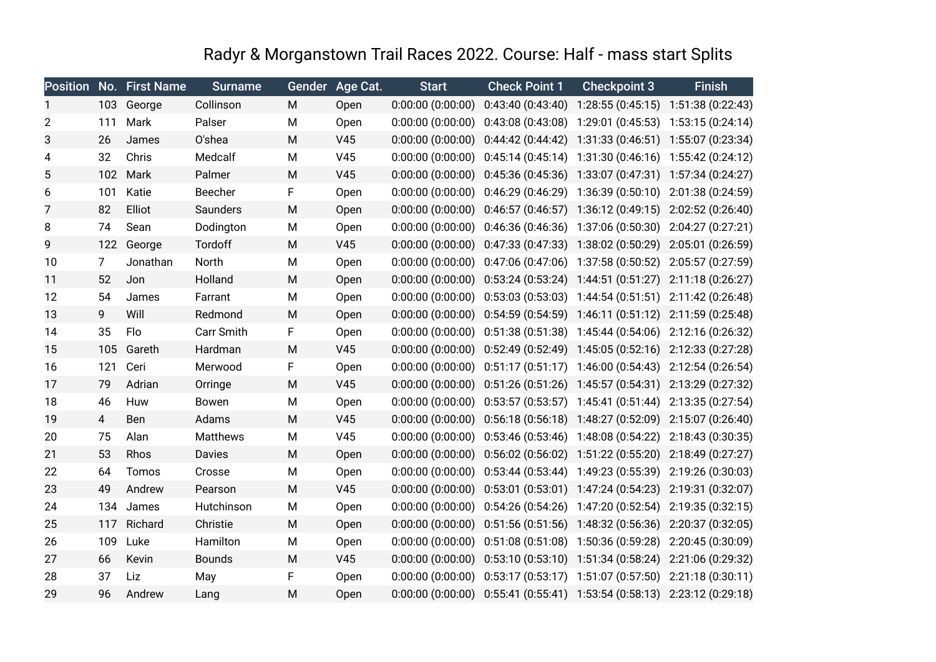## Radyr & Morganstown Trail Races 2022. Course: Half - mass start Splits

|    |                | Position No. First Name | <b>Surname</b> | <b>Gender</b> | Age Cat.        | <b>Start</b>          | <b>Check Point 1</b>                        | <b>Checkpoint 3</b>                                   | <b>Finish</b>     |
|----|----------------|-------------------------|----------------|---------------|-----------------|-----------------------|---------------------------------------------|-------------------------------------------------------|-------------------|
|    | 103            | George                  | Collinson      | M             | Open            | 0:00:00(0:00:00)      | 0:43:40(0:43:40)                            | 1:28:55 (0:45:15)                                     | 1:51:38 (0:22:43) |
| 2  | 111            | Mark                    | Palser         | M             | Open            | 0:00:00(0:00:00)      | 0:43:08(0:43:08)                            | 1:29:01 (0:45:53)                                     | 1:53:15 (0:24:14) |
| 3  | 26             | James                   | O'shea         | M             | V45             | 0:00:00(0:00:00)      | 0:44:42(0:44:42)                            | 1:31:33 (0:46:51) 1:55:07 (0:23:34)                   |                   |
| 4  | 32             | Chris                   | Medcalf        | M             | V45             | $0:00:00$ $(0:00:00)$ | 0:45:14(0:45:14)                            | 1:31:30(0:46:16)                                      | 1:55:42 (0:24:12) |
| 5  | 102            | Mark                    | Palmer         | M             | V45             | 0:00:00(0:00:00)      | 0:45:36(0:45:36)                            | 1:33:07 (0:47:31) 1:57:34 (0:24:27)                   |                   |
| 6  | 101            | Katie                   | Beecher        | F             | Open            | $0:00:00$ $(0:00:00)$ | 0:46:29(0:46:29)                            | 1:36:39(0:50:10)                                      | 2:01:38 (0:24:59) |
| 7  | 82             | Elliot                  | Saunders       | M             | Open            | 0:00:00(0:00:00)      | 0:46:57(0:46:57)                            | 1:36:12 (0:49:15) 2:02:52 (0:26:40)                   |                   |
| 8  | 74             | Sean                    | Dodington      | M             | Open            | 0:00:00(0:00:00)      | 0:46:36(0:46:36)                            | 1:37:06 (0:50:30)                                     | 2:04:27 (0:27:21) |
| 9  | 122            | George                  | Tordoff        | M             | V45             | 0:00:00(0:00:00)      | 0:47:33(0:47:33)                            | 1:38:02 (0:50:29)                                     | 2:05:01 (0:26:59) |
| 10 | 7              | Jonathan                | North          | M             | Open            | $0:00:00$ $(0:00:00)$ | 0:47:06(0:47:06)                            | 1:37:58 (0:50:52)                                     | 2:05:57 (0:27:59) |
| 11 | 52             | Jon                     | Holland        | M             | Open            | 0:00:00(0:00:00)      | 0:53:24(0:53:24)                            | 1:44:51 (0:51:27)                                     | 2:11:18 (0:26:27) |
| 12 | 54             | James                   | Farrant        | M             | Open            | 0:00:00(0:00:00)      | 0:53:03(0:53:03)                            | 1:44:54(0:51:51)                                      | 2:11:42 (0:26:48) |
| 13 | 9              | Will                    | Redmond        | M             | Open            | 0:00:00(0:00:00)      | 0:54:59(0:54:59)                            | 1:46:11(0:51:12)                                      | 2:11:59 (0:25:48) |
| 14 | 35             | Flo                     | Carr Smith     | F             | Open            | 0:00:00(0:00:00)      | 0:51:38(0:51:38)                            | 1:45:44 (0:54:06)                                     | 2:12:16 (0:26:32) |
| 15 | 105            | Gareth                  | Hardman        | M             | V45             | $0:00:00$ $(0:00:00)$ |                                             | 0:52:49 (0:52:49) 1:45:05 (0:52:16) 2:12:33 (0:27:28) |                   |
| 16 | 121            | Ceri                    | Merwood        | F             | Open            | $0:00:00$ $(0:00:00)$ | 0:51:17(0:51:17)                            | 1:46:00(0:54:43)                                      | 2:12:54 (0:26:54) |
| 17 | 79             | Adrian                  | Orringe        | M             | V45             | 0:00:00(0:00:00)      | 0:51:26(0:51:26)                            | 1:45:57 (0:54:31) 2:13:29 (0:27:32)                   |                   |
| 18 | 46             | Huw                     | Bowen          | M             | Open            | 0:00:00(0:00:00)      | 0:53:57(0:53:57)                            | 1:45:41 (0:51:44)                                     | 2:13:35 (0:27:54) |
| 19 | $\overline{4}$ | <b>Ben</b>              | Adams          | M             | V <sub>45</sub> | $0:00:00$ $(0:00:00)$ | 0:56:18(0:56:18)                            | 1:48:27 (0:52:09)                                     | 2:15:07 (0:26:40) |
| 20 | 75             | Alan                    | Matthews       | M             | V45             | 0:00:00(0:00:00)      | 0:53:46(0:53:46)                            | 1:48:08 (0:54:22)                                     | 2:18:43 (0:30:35) |
| 21 | 53             | Rhos                    | Davies         | M             | Open            | 0:00:00(0:00:00)      | 0:56:02(0:56:02)                            | 1:51:22 (0:55:20)                                     | 2:18:49 (0:27:27) |
| 22 | 64             | Tomos                   | Crosse         | M             | Open            | 0:00:00(0:00:00)      | 0:53:44(0:53:44)                            | 1:49:23 (0:55:39)                                     | 2:19:26 (0:30:03) |
| 23 | 49             | Andrew                  | Pearson        | M             | V45             | $0:00:00$ $(0:00:00)$ | 0:53:01(0:53:01)                            | 1:47:24 (0:54:23)                                     | 2:19:31 (0:32:07) |
| 24 | 134            | James                   | Hutchinson     | M             | Open            | 0:00:00(0:00:00)      | 0:54:26(0:54:26)                            | 1:47:20 (0:52:54)                                     | 2:19:35 (0:32:15) |
| 25 | 117            | Richard                 | Christie       | M             | Open            | 0:00:00(0:00:00)      | 0:51:56(0:51:56)                            | 1:48:32 (0:56:36) 2:20:37 (0:32:05)                   |                   |
| 26 | 109            | Luke                    | Hamilton       | M             | Open            | 0:00:00(0:00:00)      | 0:51:08(0:51:08)                            | 1:50:36 (0:59:28)                                     | 2:20:45 (0:30:09) |
| 27 | 66             | Kevin                   | <b>Bounds</b>  | M             | V45             | $0:00:00$ $(0:00:00)$ | 0:53:10(0:53:10)                            | 1:51:34 (0:58:24)                                     | 2:21:06 (0:29:32) |
| 28 | 37             | Liz                     | May            | F             | Open            | 0:00:00(0:00:00)      | 0:53:17(0:53:17)                            | 1:51:07(0:57:50)                                      | 2:21:18(0:30:11)  |
| 29 | 96             | Andrew                  | Lang           | M             | Open            |                       | $0:00:00$ $(0:00:00)$ $0:55:41$ $(0:55:41)$ | 1:53:54(0:58:13)                                      | 2:23:12 (0:29:18) |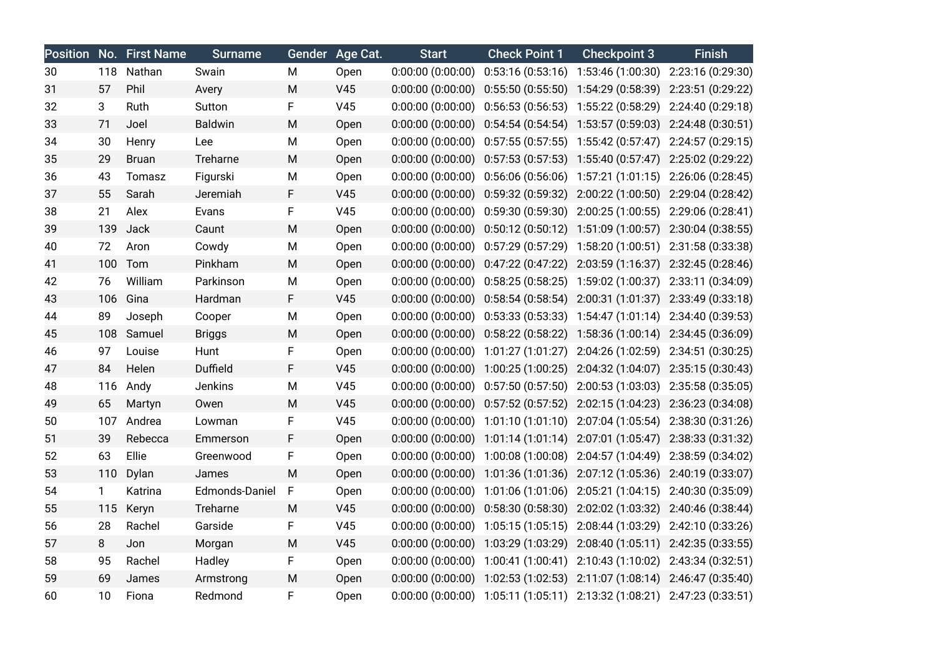|    |              | Position No. First Name | <b>Surname</b> |   | Gender Age Cat. | <b>Start</b>          | <b>Check Point 1</b>                                                    | <b>Checkpoint 3</b>                    | <b>Finish</b>     |
|----|--------------|-------------------------|----------------|---|-----------------|-----------------------|-------------------------------------------------------------------------|----------------------------------------|-------------------|
| 30 |              | 118 Nathan              | Swain          | М | Open            | 0:00:00(0:00:00)      |                                                                         | $0:53:16(0:53:16)$ 1:53:46 (1:00:30)   | 2:23:16 (0:29:30) |
| 31 | 57           | Phil                    | Avery          | М | V45             | 0:00:00(0:00:00)      |                                                                         | $0:55:50(0:55:50)$ 1:54:29 $(0:58:39)$ | 2:23:51 (0:29:22) |
| 32 | 3            | Ruth                    | Sutton         | F | V45             | $0:00:00$ $(0:00:00)$ | $0:56:53(0:56:53)$ 1:55:22 (0:58:29)                                    |                                        | 2:24:40 (0:29:18) |
| 33 | 71           | Joel                    | <b>Baldwin</b> | M | Open            | $0:00:00$ $(0:00:00)$ |                                                                         | $0:54:54(0:54:54)$ 1:53:57 (0:59:03)   | 2:24:48 (0:30:51) |
| 34 | 30           | Henry                   | Lee            | М | Open            | $0:00:00$ $(0:00:00)$ | $0:57:55(0:57:55)$ 1:55:42 (0:57:47)                                    |                                        | 2:24:57 (0:29:15) |
| 35 | 29           | <b>Bruan</b>            | Treharne       | M | Open            | 0:00:00(0:00:00)      |                                                                         | $0:57:53(0:57:53)$ 1:55:40 $(0:57:47)$ | 2:25:02 (0:29:22) |
| 36 | 43           | Tomasz                  | Figurski       | М | Open            | 0:00:00(0:00:00)      |                                                                         | $0:56:06(0:56:06)$ 1:57:21 (1:01:15)   | 2:26:06 (0:28:45) |
| 37 | 55           | Sarah                   | Jeremiah       | F | V45             | 0:00:00(0:00:00)      |                                                                         | $0:59:32(0:59:32)$ $2:00:22(1:00:50)$  | 2:29:04 (0:28:42) |
| 38 | 21           | Alex                    | Evans          | F | V45             | $0:00:00$ $(0:00:00)$ |                                                                         | $0:59:30(0:59:30)$ 2:00:25 (1:00:55)   | 2:29:06 (0:28:41) |
| 39 | 139          | Jack                    | Caunt          | M | Open            | 0:00:00(0:00:00)      |                                                                         | $0:50:12(0:50:12)$ 1:51:09 (1:00:57)   | 2:30:04 (0:38:55) |
| 40 | 72           | Aron                    | Cowdy          | M | Open            | 0:00:00(0:00:00)      |                                                                         | $0:57:29(0:57:29)$ 1:58:20 $(1:00:51)$ | 2:31:58 (0:33:38) |
| 41 | 100          | Tom                     | Pinkham        | M | Open            | 0:00:00(0:00:00)      |                                                                         | $0:47:22(0:47:22)$ 2:03:59 (1:16:37)   | 2:32:45 (0:28:46) |
| 42 | 76           | William                 | Parkinson      | М | Open            | $0:00:00$ $(0:00:00)$ |                                                                         | $0:58:25(0:58:25)$ 1:59:02 (1:00:37)   | 2:33:11 (0:34:09) |
| 43 | 106          | Gina                    | Hardman        | F | V45             | 0:00:00(0:00:00)      |                                                                         | $0:58:54(0:58:54)$ 2:00:31 (1:01:37)   | 2:33:49 (0:33:18) |
| 44 | 89           | Joseph                  | Cooper         | М | Open            | 0:00:00(0:00:00)      |                                                                         | $0:53:33(0:53:33)$ 1:54:47 (1:01:14)   | 2:34:40 (0:39:53) |
| 45 | 108          | Samuel                  | <b>Briggs</b>  | M | Open            | 0:00:00(0:00:00)      |                                                                         | $0:58:22(0:58:22)$ 1:58:36 (1:00:14)   | 2:34:45 (0:36:09) |
| 46 | 97           | Louise                  | Hunt           | F | Open            | 0:00:00(0:00:00)      |                                                                         | 1:01:27 (1:01:27) 2:04:26 (1:02:59)    | 2:34:51 (0:30:25) |
| 47 | 84           | Helen                   | Duffield       | F | V45             | 0:00:00(0:00:00)      | 1:00:25 (1:00:25) 2:04:32 (1:04:07)                                     |                                        | 2:35:15 (0:30:43) |
| 48 | 116          | Andy                    | Jenkins        | М | V45             | $0:00:00$ $(0:00:00)$ |                                                                         | $0:57:50(0:57:50)$ 2:00:53 (1:03:03)   | 2:35:58 (0:35:05) |
| 49 | 65           | Martyn                  | Owen           | M | V45             | $0:00:00$ $(0:00:00)$ |                                                                         | $0:57:52(0:57:52)$ $2:02:15(1:04:23)$  | 2:36:23 (0:34:08) |
| 50 |              | 107 Andrea              | Lowman         | F | V45             | 0:00:00(0:00:00)      |                                                                         | 1:01:10 (1:01:10) 2:07:04 (1:05:54)    | 2:38:30 (0:31:26) |
| 51 | 39           | Rebecca                 | Emmerson       | F | Open            | 0:00:00(0:00:00)      |                                                                         | 1:01:14 (1:01:14) 2:07:01 (1:05:47)    | 2:38:33 (0:31:32) |
| 52 | 63           | Ellie                   | Greenwood      | F | Open            | $0:00:00$ $(0:00:00)$ |                                                                         | 1:00:08 (1:00:08) 2:04:57 (1:04:49)    | 2:38:59 (0:34:02) |
| 53 | 110          | Dylan                   | James          | M | Open            | 0:00:00(0:00:00)      | 1:01:36 (1:01:36) 2:07:12 (1:05:36)                                     |                                        | 2:40:19 (0:33:07) |
| 54 | $\mathbf{1}$ | Katrina                 | Edmonds-Daniel | F | Open            | 0:00:00(0:00:00)      |                                                                         | 1:01:06 (1:01:06) 2:05:21 (1:04:15)    | 2:40:30 (0:35:09) |
| 55 | 115          | Keryn                   | Treharne       | M | V45             | 0:00:00(0:00:00)      | 0:58:30(0:58:30)                                                        | 2:02:02 (1:03:32)                      | 2:40:46 (0:38:44) |
| 56 | 28           | Rachel                  | Garside        | F | V45             | 0:00:00(0:00:00)      | 1:05:15 (1:05:15) 2:08:44 (1:03:29)                                     |                                        | 2:42:10 (0:33:26) |
| 57 | 8            | Jon                     | Morgan         | M | V45             | 0:00:00(0:00:00)      |                                                                         | 1:03:29 (1:03:29) 2:08:40 (1:05:11)    | 2:42:35 (0:33:55) |
| 58 | 95           | Rachel                  | Hadley         | F | Open            | 0:00:00(0:00:00)      | 1:00:41 (1:00:41) 2:10:43 (1:10:02)                                     |                                        | 2:43:34 (0:32:51) |
| 59 | 69           | James                   | Armstrong      | M | Open            | 0:00:00(0:00:00)      | 1:02:53 (1:02:53) 2:11:07 (1:08:14) 2:46:47 (0:35:40)                   |                                        |                   |
| 60 | 10           | Fiona                   | Redmond        | F | Open            |                       | 0:00:00 (0:00:00) 1:05:11 (1:05:11) 2:13:32 (1:08:21) 2:47:23 (0:33:51) |                                        |                   |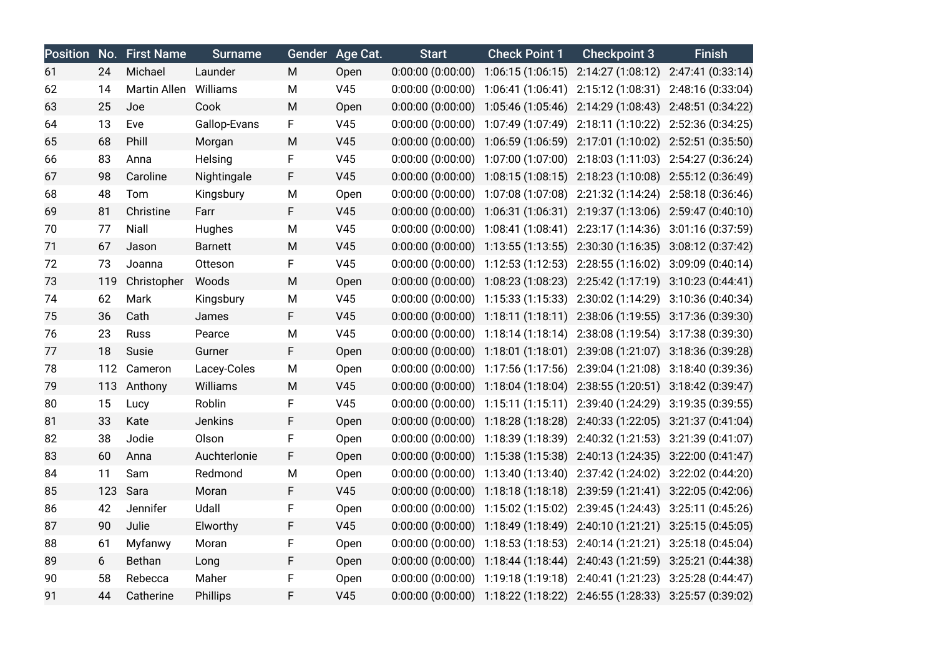|    |     | <b>Position No. First Name</b> | <b>Surname</b> | Gender | Age Cat.        | <b>Start</b>          | <b>Check Point 1</b>                      | <b>Checkpoint 3</b>                 | <b>Finish</b>                       |
|----|-----|--------------------------------|----------------|--------|-----------------|-----------------------|-------------------------------------------|-------------------------------------|-------------------------------------|
| 61 | 24  | Michael                        | Launder        | M      | Open            | 0:00:00(0:00:00)      | 1:06:15(1:06:15)                          | 2:14:27 (1:08:12) 2:47:41 (0:33:14) |                                     |
| 62 | 14  | Martin Allen Williams          |                | M      | V45             | 0:00:00(0:00:00)      | 1:06:41 (1:06:41)                         | 2:15:12 (1:08:31) 2:48:16 (0:33:04) |                                     |
| 63 | 25  | Joe                            | Cook           | M      | Open            | 0:00:00(0:00:00)      | 1:05:46 (1:05:46)                         | 2:14:29 (1:08:43)                   | 2:48:51 (0:34:22)                   |
| 64 | 13  | Eve                            | Gallop-Evans   | F      | V45             | 0:00:00(0:00:00)      | 1:07:49 (1:07:49)                         | 2:18:11 (1:10:22)                   | 2:52:36 (0:34:25)                   |
| 65 | 68  | Phill                          | Morgan         | M      | V <sub>45</sub> | 0:00:00(0:00:00)      | 1:06:59 (1:06:59)                         | 2:17:01 (1:10:02)                   | 2:52:51 (0:35:50)                   |
| 66 | 83  | Anna                           | Helsing        | F      | V45             | 0:00:00(0:00:00)      | 1:07:00 (1:07:00)                         | 2:18:03 (1:11:03)                   | 2:54:27 (0:36:24)                   |
| 67 | 98  | Caroline                       | Nightingale    | F      | V45             | 0:00:00(0:00:00)      | 1:08:15 (1:08:15)                         | 2:18:23 (1:10:08) 2:55:12 (0:36:49) |                                     |
| 68 | 48  | Tom                            | Kingsbury      | M      | Open            | 0:00:00(0:00:00)      | 1:07:08 (1:07:08)                         | 2:21:32 (1:14:24) 2:58:18 (0:36:46) |                                     |
| 69 | 81  | Christine                      | Farr           | F.     | V45             | 0:00:00(0:00:00)      | 1:06:31(1:06:31)                          | 2:19:37(1:13:06)                    | 2:59:47 (0:40:10)                   |
| 70 | 77  | Niall                          | Hughes         | M      | V45             | 0:00:00(0:00:00)      | 1:08:41 (1:08:41)                         | 2:23:17 (1:14:36) 3:01:16 (0:37:59) |                                     |
| 71 | 67  | Jason                          | <b>Barnett</b> | M      | V <sub>45</sub> | 0:00:00(0:00:00)      | 1:13:55(1:13:55)                          | 2:30:30 (1:16:35)                   | 3:08:12 (0:37:42)                   |
| 72 | 73  | Joanna                         | Otteson        | F      | V45             | 0:00:00(0:00:00)      | 1:12:53 (1:12:53)                         | 2:28:55 (1:16:02)                   | 3:09:09 (0:40:14)                   |
| 73 | 119 | Christopher                    | Woods          | M      | Open            | 0:00:00(0:00:00)      | 1:08:23 (1:08:23)                         | 2:25:42 (1:17:19) 3:10:23 (0:44:41) |                                     |
| 74 | 62  | Mark                           | Kingsbury      | M      | V45             | 0:00:00(0:00:00)      | 1:15:33(1:15:33)                          | 2:30:02 (1:14:29)                   | 3:10:36 (0:40:34)                   |
| 75 | 36  | Cath                           | James          | F      | V45             | 0:00:00(0:00:00)      | 1:18:11(1:18:11)                          | 2:38:06 (1:19:55)                   | 3:17:36 (0:39:30)                   |
| 76 | 23  | Russ                           | Pearce         | M      | V45             | 0:00:00(0:00:00)      | 1:18:14 (1:18:14)                         | 2:38:08 (1:19:54) 3:17:38 (0:39:30) |                                     |
| 77 | 18  | Susie                          | Gurner         | F      | Open            | $0:00:00$ $(0:00:00)$ | 1:18:01(1:18:01)                          | 2:39:08 (1:21:07)                   | 3:18:36 (0:39:28)                   |
| 78 | 112 | Cameron                        | Lacey-Coles    | M      | Open            | 0:00:00(0:00:00)      | 1:17:56 (1:17:56)                         | 2:39:04 (1:21:08)                   | 3:18:40 (0:39:36)                   |
| 79 | 113 | Anthony                        | Williams       | M      | V45             | 0:00:00(0:00:00)      | 1:18:04 (1:18:04)                         | 2:38:55 (1:20:51) 3:18:42 (0:39:47) |                                     |
| 80 | 15  | Lucy                           | Roblin         | F      | V45             | 0:00:00(0:00:00)      | 1:15:11(1:15:11)                          | 2:39:40 (1:24:29)                   | 3:19:35 (0:39:55)                   |
| 81 | 33  | Kate                           | Jenkins        | F      | Open            | 0:00:00(0:00:00)      | 1:18:28 (1:18:28)                         | 2:40:33(1:22:05)                    | 3:21:37(0:41:04)                    |
| 82 | 38  | Jodie                          | Olson          | F      | Open            |                       | $0:00:00$ $(0:00:00)$ 1:18:39 $(1:18:39)$ | 2:40:32 (1:21:53) 3:21:39 (0:41:07) |                                     |
| 83 | 60  | Anna                           | Auchterlonie   | F      | Open            | 0:00:00(0:00:00)      | 1:15:38 (1:15:38)                         | 2:40:13 (1:24:35)                   | 3:22:00 (0:41:47)                   |
| 84 | 11  | Sam                            | Redmond        | M      | Open            | 0:00:00(0:00:00)      | 1:13:40 (1:13:40)                         | 2:37:42 (1:24:02)                   | 3:22:02 (0:44:20)                   |
| 85 | 123 | Sara                           | Moran          | F      | V45             | 0:00:00(0:00:00)      | 1:18:18(1:18:18)                          | 2:39:59 (1:21:41) 3:22:05 (0:42:06) |                                     |
| 86 | 42  | Jennifer                       | Udall          | F      | Open            | 0:00:00(0:00:00)      | 1:15:02 (1:15:02)                         |                                     | 2:39:45 (1:24:43) 3:25:11 (0:45:26) |
| 87 | 90  | Julie                          | Elworthy       | F      | V45             | 0:00:00(0:00:00)      | 1:18:49 (1:18:49)                         | 2:40:10 (1:21:21) 3:25:15 (0:45:05) |                                     |
| 88 | 61  | Myfanwy                        | Moran          | F      | Open            | 0:00:00(0:00:00)      | 1:18:53 (1:18:53)                         | 2:40:14(1:21:21)                    | 3:25:18(0:45:04)                    |
| 89 | 6   | Bethan                         | Long           | F      | Open            | 0:00:00(0:00:00)      | 1:18:44(1:18:44)                          | 2:40:43 (1:21:59)                   | 3:25:21 (0:44:38)                   |
| 90 | 58  | Rebecca                        | Maher          | F      | Open            | 0:00:00(0:00:00)      | 1:19:18 (1:19:18)                         | 2:40:41 (1:21:23)                   | 3:25:28 (0:44:47)                   |
| 91 | 44  | Catherine                      | Phillips       | F      | V45             |                       | $0:00:00$ $(0:00:00)$ 1:18:22 $(1:18:22)$ | 2:46:55 (1:28:33)                   | 3:25:57 (0:39:02)                   |